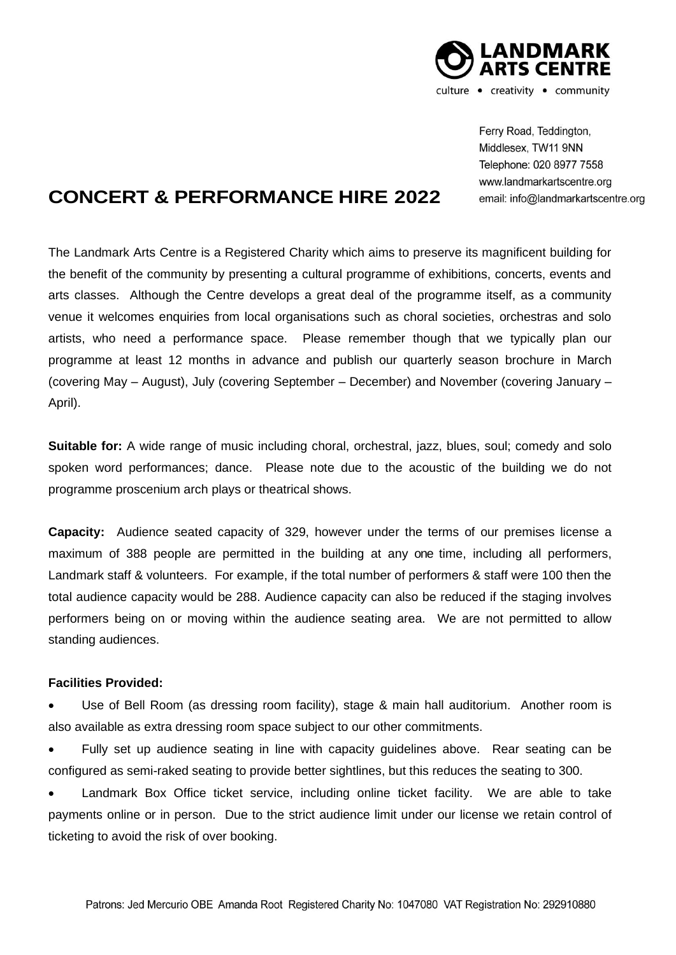

Ferry Road, Teddington, Middlesex, TW11 9NN Telephone: 020 8977 7558 www.landmarkartscentre.org email: info@landmarkartscentre.org

## **CONCERT & PERFORMANCE HIRE 2022**

The Landmark Arts Centre is a Registered Charity which aims to preserve its magnificent building for the benefit of the community by presenting a cultural programme of exhibitions, concerts, events and arts classes. Although the Centre develops a great deal of the programme itself, as a community venue it welcomes enquiries from local organisations such as choral societies, orchestras and solo artists, who need a performance space. Please remember though that we typically plan our programme at least 12 months in advance and publish our quarterly season brochure in March (covering May – August), July (covering September – December) and November (covering January – April).

**Suitable for:** A wide range of music including choral, orchestral, jazz, blues, soul; comedy and solo spoken word performances; dance. Please note due to the acoustic of the building we do not programme proscenium arch plays or theatrical shows.

**Capacity:** Audience seated capacity of 329, however under the terms of our premises license a maximum of 388 people are permitted in the building at any one time, including all performers, Landmark staff & volunteers. For example, if the total number of performers & staff were 100 then the total audience capacity would be 288. Audience capacity can also be reduced if the staging involves performers being on or moving within the audience seating area. We are not permitted to allow standing audiences.

## **Facilities Provided:**

Use of Bell Room (as dressing room facility), stage & main hall auditorium. Another room is also available as extra dressing room space subject to our other commitments.

• Fully set up audience seating in line with capacity guidelines above. Rear seating can be configured as semi-raked seating to provide better sightlines, but this reduces the seating to 300.

• Landmark Box Office ticket service, including online ticket facility. We are able to take payments online or in person. Due to the strict audience limit under our license we retain control of ticketing to avoid the risk of over booking.